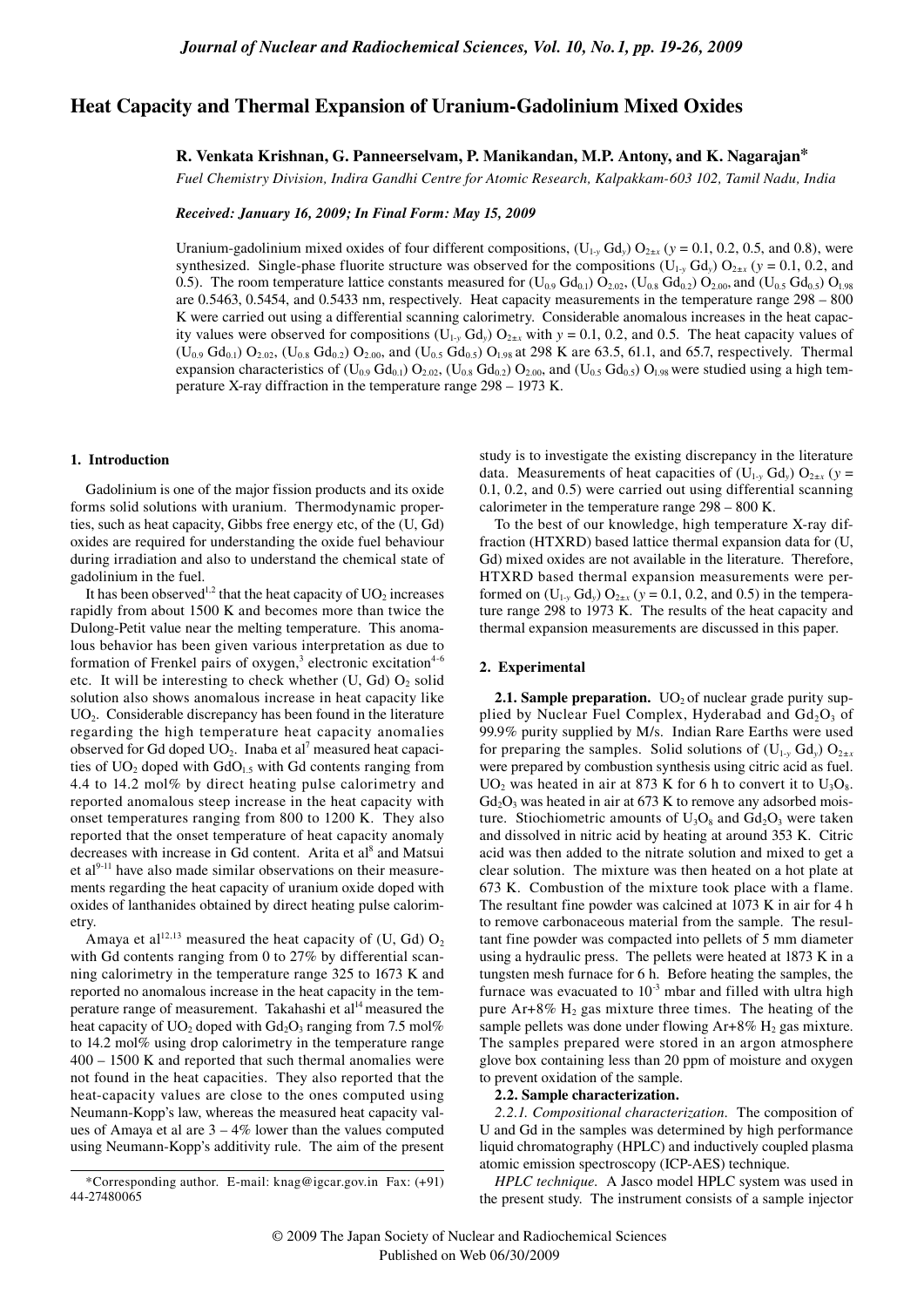# **Heat Capacity and Thermal Expansion of Uranium-Gadolinium Mixed Oxides**

# **R. Venkata Krishnan, G. Panneerselvam, P. Manikandan, M.P. Antony, and K. Nagarajan\***

*Fuel Chemistry Division, Indira Gandhi Centre for Atomic Research, Kalpakkam-603 102, Tamil Nadu, India*

*Received: January 16, 2009; In Final Form: May 15, 2009*

Uranium-gadolinium mixed oxides of four different compositions,  $(U_{1y} G_{dy}) O_{2+x}$  ( $y = 0.1, 0.2, 0.5,$  and 0.8), were synthesized. Single-phase fluorite structure was observed for the compositions ( $U_{1,x}$  Gd<sub>y</sub>)  $O_{2+x}$  ( $y = 0.1$ , 0.2, and 0.5). The room temperature lattice constants measured for  $(U_{0.9} G_{0.1}) O_{2.02}$ ,  $(U_{0.8} G_{0.2}) O_{2.00}$ , and  $(U_{0.5} G_{0.5}) O_{1.98}$ are 0.5463, 0.5454, and 0.5433 nm, respectively. Heat capacity measurements in the temperature range 298 – 800 K were carried out using a differential scanning calorimetry. Considerable anomalous increases in the heat capacity values were observed for compositions  $(U_{1,y} G_d) O_{2+x}$  with  $y = 0.1, 0.2,$  and 0.5. The heat capacity values of  $(U_{0.9} \text{Gd}_{0.1})$  O<sub>2.02</sub>,  $(U_{0.8} \text{Gd}_{0.2})$  O<sub>2.00</sub>, and  $(U_{0.5} \text{Gd}_{0.5})$  O<sub>1.98</sub> at 298 K are 63.5, 61.1, and 65.7, respectively. Thermal expansion characteristics of  $(U_{0.9} G_{0.1}) O_{2.02}$ ,  $(U_{0.8} G_{0.2}) O_{2.00}$ , and  $(U_{0.5} G_{0.5}) O_{1.98}$  were studied using a high temperature X-ray diffraction in the temperature range 298 – 1973 K.

### **1. Introduction**

Gadolinium is one of the major fission products and its oxide forms solid solutions with uranium. Thermodynamic properties, such as heat capacity, Gibbs free energy etc, of the (U, Gd) oxides are required for understanding the oxide fuel behaviour during irradiation and also to understand the chemical state of gadolinium in the fuel.

It has been observed<sup>1,2</sup> that the heat capacity of  $UO<sub>2</sub>$  increases rapidly from about 1500 K and becomes more than twice the Dulong-Petit value near the melting temperature. This anomalous behavior has been given various interpretation as due to formation of Frenkel pairs of oxygen,<sup>3</sup> electronic excitation<sup>4-6</sup> etc. It will be interesting to check whether  $(U, Gd) O<sub>2</sub>$  solid solution also shows anomalous increase in heat capacity like UO<sub>2</sub>. Considerable discrepancy has been found in the literature regarding the high temperature heat capacity anomalies observed for Gd doped  $UO<sub>2</sub>$ . Inaba et al<sup>7</sup> measured heat capacities of  $UO_2$  doped with  $GdO_1$ , with Gd contents ranging from 4.4 to 14.2 mol% by direct heating pulse calorimetry and reported anomalous steep increase in the heat capacity with onset temperatures ranging from 800 to 1200 K. They also reported that the onset temperature of heat capacity anomaly decreases with increase in Gd content. Arita et al<sup>8</sup> and Matsui et al<sup>9-11</sup> have also made similar observations on their measurements regarding the heat capacity of uranium oxide doped with oxides of lanthanides obtained by direct heating pulse calorimetry.

Amaya et al<sup>12,13</sup> measured the heat capacity of (U, Gd)  $O_2$ with Gd contents ranging from 0 to 27% by differential scanning calorimetry in the temperature range 325 to 1673 K and reported no anomalous increase in the heat capacity in the temperature range of measurement. Takahashi et al<sup>14</sup> measured the heat capacity of  $UO_2$  doped with  $Gd_2O_3$  ranging from 7.5 mol% to 14.2 mol% using drop calorimetry in the temperature range 400 – 1500 K and reported that such thermal anomalies were not found in the heat capacities. They also reported that the heat-capacity values are close to the ones computed using Neumann-Kopp's law, whereas the measured heat capacity values of Amaya et al are  $3 - 4\%$  lower than the values computed using Neumann-Kopp's additivity rule. The aim of the present

study is to investigate the existing discrepancy in the literature data. Measurements of heat capacities of  $(U_{1} \cdot \text{Gd}_{y}) O_{2+x}$  (*y* = 0.1, 0.2, and 0.5) were carried out using differential scanning calorimeter in the temperature range 298 – 800 K.

To the best of our knowledge, high temperature X-ray diffraction (HTXRD) based lattice thermal expansion data for (U, Gd) mixed oxides are not available in the literature. Therefore, HTXRD based thermal expansion measurements were performed on  $(U_{1}$ <sup>*, Gd<sub>y</sub>*</sub>  $O_{2+x}$  (*y* = 0.1, 0.2, and 0.5) in the tempera-</sup> ture range 298 to 1973 K. The results of the heat capacity and thermal expansion measurements are discussed in this paper.

# **2. Experimental**

**2.1. Sample preparation.** UO<sub>2</sub> of nuclear grade purity supplied by Nuclear Fuel Complex, Hyderabad and  $Gd_2O_3$  of 99.9% purity supplied by M/s. Indian Rare Earths were used for preparing the samples. Solid solutions of  $(U_{1,y} G_{y} U_{2+x}$ were prepared by combustion synthesis using citric acid as fuel. UO<sub>2</sub> was heated in air at 873 K for 6 h to convert it to  $U_3O_8$ .  $Gd<sub>2</sub>O<sub>3</sub>$  was heated in air at 673 K to remove any adsorbed moisture. Stiochiometric amounts of  $U_3O_8$  and  $Gd_2O_3$  were taken and dissolved in nitric acid by heating at around 353 K. Citric acid was then added to the nitrate solution and mixed to get a clear solution. The mixture was then heated on a hot plate at 673 K. Combustion of the mixture took place with a flame. The resultant fine powder was calcined at 1073 K in air for 4 h to remove carbonaceous material from the sample. The resultant fine powder was compacted into pellets of 5 mm diameter using a hydraulic press. The pellets were heated at 1873 K in a tungsten mesh furnace for 6 h. Before heating the samples, the furnace was evacuated to  $10^{-3}$  mbar and filled with ultra high pure  $Ar+8\%$  H<sub>2</sub> gas mixture three times. The heating of the sample pellets was done under flowing  $Ar+8\%$  H<sub>2</sub> gas mixture. The samples prepared were stored in an argon atmosphere glove box containing less than 20 ppm of moisture and oxygen to prevent oxidation of the sample.

## **2.2. Sample characterization.**

*2.2.1. Compositional characterization.*The composition of U and Gd in the samples was determined by high performance liquid chromatography (HPLC) and inductively coupled plasma atomic emission spectroscopy (ICP-AES) technique.

*HPLC technique.*A Jasco model HPLC system was used in the present study. The instrument consists of a sample injector

<sup>\*</sup>Corresponding author. E-mail: knag@igcar.gov.in Fax: (+91) 44-27480065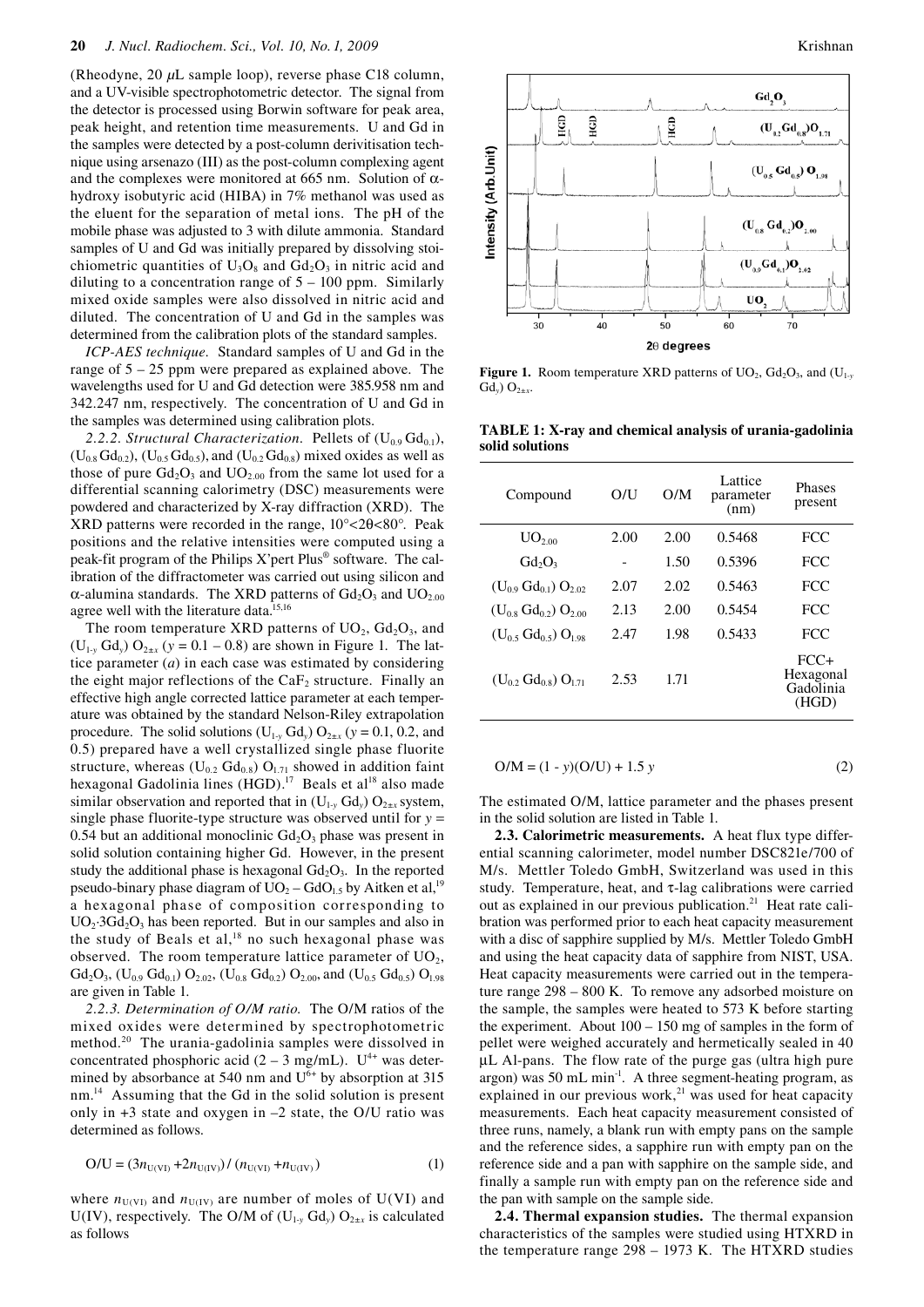(Rheodyne,  $20 \mu L$  sample loop), reverse phase C18 column, and a UV-visible spectrophotometric detector. The signal from the detector is processed using Borwin software for peak area, peak height, and retention time measurements. U and Gd in the samples were detected by a post-column derivitisation technique using arsenazo (III) as the post-column complexing agent and the complexes were monitored at 665 nm. Solution of  $\alpha$ hydroxy isobutyric acid (HIBA) in 7% methanol was used as the eluent for the separation of metal ions. The pH of the mobile phase was adjusted to 3 with dilute ammonia. Standard samples of U and Gd was initially prepared by dissolving stoichiometric quantities of  $U_3O_8$  and  $Gd_2O_3$  in nitric acid and diluting to a concentration range of  $5 - 100$  ppm. Similarly mixed oxide samples were also dissolved in nitric acid and diluted. The concentration of U and Gd in the samples was determined from the calibration plots of the standard samples.

*ICP-AES technique.*Standard samples of U and Gd in the range of 5 – 25 ppm were prepared as explained above. The wavelengths used for U and Gd detection were 385.958 nm and 342.247 nm, respectively. The concentration of U and Gd in the samples was determined using calibration plots.

2.2.2. Structural Characterization. Pellets of  $(U_{0.9} Gd_{0.1}),$  $(U_{0.8} G_{0.2})$ ,  $(U_{0.5} G_{0.5})$ , and  $(U_{0.2} G_{0.8})$  mixed oxides as well as those of pure  $Gd_2O_3$  and  $UO_{2.00}$  from the same lot used for a differential scanning calorimetry (DSC) measurements were powdered and characterized by X-ray diffraction (XRD). The XRD patterns were recorded in the range,  $10^{\circ}$  <  $20$  <  $80^{\circ}$ . Peak positions and the relative intensities were computed using a peak-fit program of the Philips X'pert Plus® software. The calibration of the diffractometer was carried out using silicon and α-alumina standards. The XRD patterns of  $Gd<sub>2</sub>O<sub>3</sub>$  and  $UO<sub>2.00</sub>$ agree well with the literature data.<sup>15,16</sup>

The room temperature XRD patterns of  $UO<sub>2</sub>$ ,  $Gd<sub>2</sub>O<sub>3</sub>$ , and  $(U_{1-y} Gd_y) O_{2+x}$  ( $y = 0.1 - 0.8$ ) are shown in Figure 1. The lattice parameter (*a*) in each case was estimated by considering the eight major reflections of the  $CaF<sub>2</sub>$  structure. Finally an effective high angle corrected lattice parameter at each temperature was obtained by the standard Nelson-Riley extrapolation procedure. The solid solutions ( $U_{1-y}$  Gd<sub>*y*</sub>)  $O_{2+x}$  (*y* = 0.1, 0.2, and 0.5) prepared have a well crystallized single phase fluorite structure, whereas ( $U_{0.2}$  Gd<sub>0.8</sub>) O<sub>1.71</sub> showed in addition faint hexagonal Gadolinia lines (HGD).<sup>17</sup> Beals et al<sup>18</sup> also made similar observation and reported that in  $(U_{1,y} G_{d_y}) O_{2+x}$  system, single phase fluorite-type structure was observed until for  $y =$ 0.54 but an additional monoclinic  $Gd_2O_3$  phase was present in solid solution containing higher Gd. However, in the present study the additional phase is hexagonal  $Gd_2O_3$ . In the reported pseudo-binary phase diagram of  $UO_2 - GdO_{1.5}$  by Aitken et al,<sup>19</sup> a hexagonal phase of composition corresponding to  $UO_2$ ·3Gd<sub>2</sub>O<sub>3</sub> has been reported. But in our samples and also in the study of Beals et  $aI$ ,<sup>18</sup> no such hexagonal phase was observed. The room temperature lattice parameter of  $UO<sub>2</sub>$ ,  $Gd_2O_3$ ,  $(U_{0.9} Gd_{0.1}) O_{2.02}$ ,  $(U_{0.8} Gd_{0.2}) O_{2.00}$ , and  $(U_{0.5} Gd_{0.5}) O_{1.98}$ are given in Table 1.

*2.2.3. Determination of O/M ratio.*The O/M ratios of the mixed oxides were determined by spectrophotometric method.20 The urania-gadolinia samples were dissolved in concentrated phosphoric acid (2 – 3 mg/mL).  $U^{4+}$  was determined by absorbance at 540 nm and  $U^{\bar{6}+}$  by absorption at 315 nm.<sup>14</sup> Assuming that the Gd in the solid solution is present only in +3 state and oxygen in –2 state, the O/U ratio was determined as follows.

$$
O/U = (3n_{U(VI)} + 2n_{U(IV)})/(n_{U(VI)} + n_{U(IV)})
$$
\n(1)

where  $n_{U(VI)}$  and  $n_{U(IV)}$  are number of moles of U(VI) and U(IV), respectively. The O/M of  $(U_{1-y} Gd_y) O_{2+x}$  is calculated as follows



**Figure 1.** Room temperature XRD patterns of  $UO_2$ ,  $Gd_2O_3$ , and  $(U_{1\cdots}$  $Gd_v$ )  $O_{2+r}$ .

**TABLE 1: X-ray and chemical analysis of urania-gadolinia solid solutions**

| Compound                      | O/U  | O/M  | Lattice<br>parameter<br>(nm) | <b>Phases</b><br>present                |
|-------------------------------|------|------|------------------------------|-----------------------------------------|
| UO <sub>2.00</sub>            | 2.00 | 2.00 | 0.5468                       | FCC                                     |
| $Gd_2O_3$                     |      | 1.50 | 0.5396                       | <b>FCC</b>                              |
| $(U_{09} Gd_{01}) O_{202}$    | 2.07 | 2.02 | 0.5463                       | <b>FCC</b>                              |
| $(U_{0.8} Gd_{0.2}) O_{2.00}$ | 2.13 | 2.00 | 0.5454                       | <b>FCC</b>                              |
| $(U_0, Gd_0, O_0)$            | 2.47 | 1.98 | 0.5433                       | <b>FCC</b>                              |
| $(U_0, Gd_0, O_1)$            | 2.53 | 1.71 |                              | FCC+<br>Hexagonal<br>Gadolinia<br>(HGD) |

$$
O/M = (1 - y)(O/U) + 1.5 y
$$
 (2)

The estimated O/M, lattice parameter and the phases present in the solid solution are listed in Table 1.

**2.3. Calorimetric measurements.** A heat flux type differential scanning calorimeter, model number DSC821e/700 of M/s. Mettler Toledo GmbH, Switzerland was used in this study. Temperature, heat, and τ-lag calibrations were carried out as explained in our previous publication.<sup>21</sup> Heat rate calibration was performed prior to each heat capacity measurement with a disc of sapphire supplied by M/s. Mettler Toledo GmbH and using the heat capacity data of sapphire from NIST, USA. Heat capacity measurements were carried out in the temperature range 298 – 800 K. To remove any adsorbed moisture on the sample, the samples were heated to 573 K before starting the experiment. About  $100 - 150$  mg of samples in the form of pellet were weighed accurately and hermetically sealed in 40 µL Al-pans. The flow rate of the purge gas (ultra high pure argon) was 50 mL min<sup>-1</sup>. A three segment-heating program, as explained in our previous work, $21$  was used for heat capacity measurements. Each heat capacity measurement consisted of three runs, namely, a blank run with empty pans on the sample and the reference sides, a sapphire run with empty pan on the reference side and a pan with sapphire on the sample side, and finally a sample run with empty pan on the reference side and the pan with sample on the sample side.

**2.4. Thermal expansion studies.** The thermal expansion characteristics of the samples were studied using HTXRD in the temperature range 298 – 1973 K. The HTXRD studies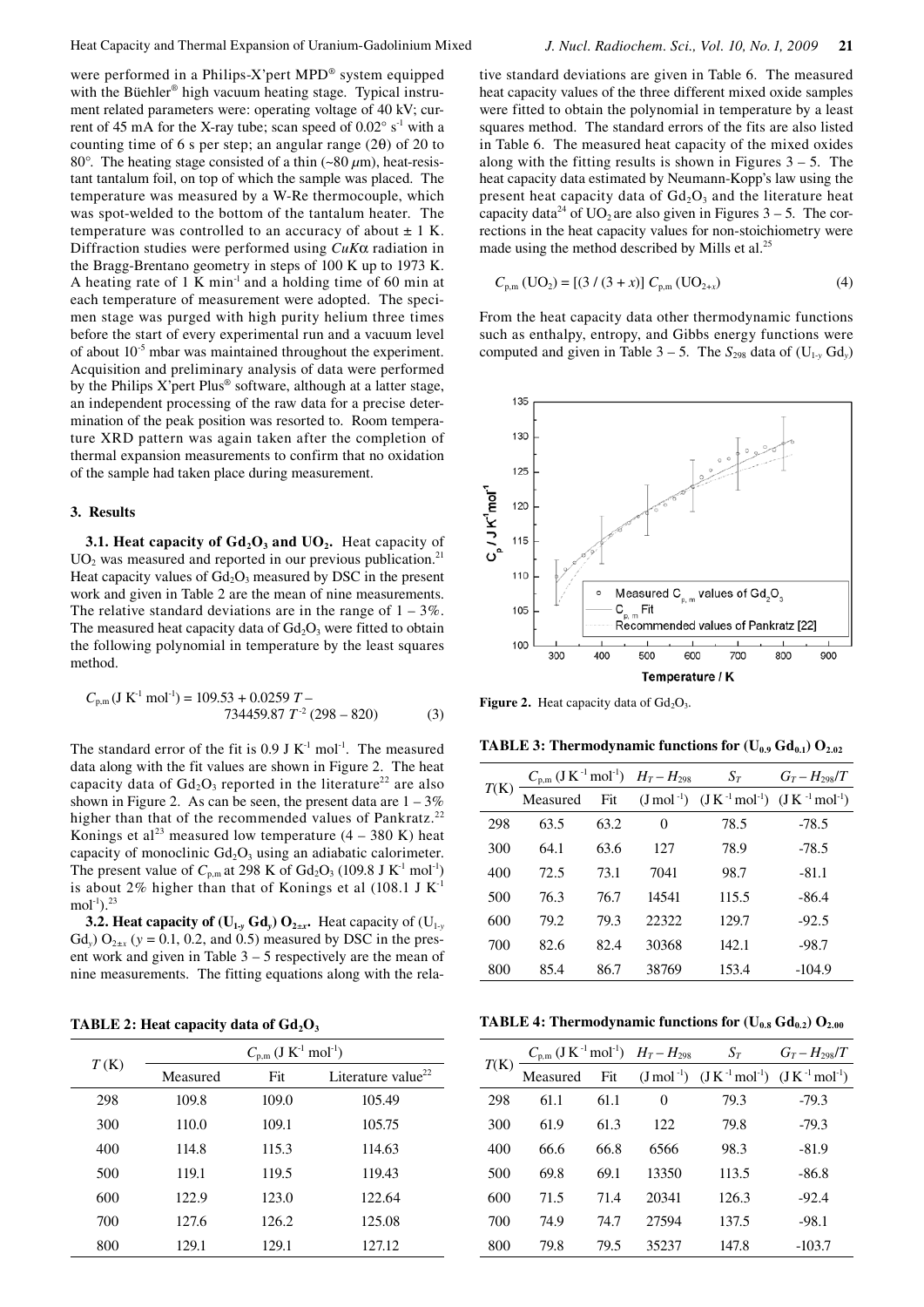were performed in a Philips-X'pert MPD® system equipped with the Büehler® high vacuum heating stage. Typical instrument related parameters were: operating voltage of 40 kV; current of 45 mA for the X-ray tube; scan speed of  $0.02^{\circ}$  s<sup>-1</sup> with a counting time of 6 s per step; an angular range (2θ) of 20 to 80°. The heating stage consisted of a thin (~80 *µ*m), heat-resistant tantalum foil, on top of which the sample was placed. The temperature was measured by a W-Re thermocouple, which was spot-welded to the bottom of the tantalum heater. The temperature was controlled to an accuracy of about  $\pm$  1 K. Diffraction studies were performed using *CuK*α radiation in the Bragg-Brentano geometry in steps of 100 K up to 1973 K. A heating rate of  $1 \text{ K min}^{-1}$  and a holding time of 60 min at each temperature of measurement were adopted. The specimen stage was purged with high purity helium three times before the start of every experimental run and a vacuum level of about 10-5 mbar was maintained throughout the experiment. Acquisition and preliminary analysis of data were performed by the Philips X'pert Plus® software, although at a latter stage, an independent processing of the raw data for a precise determination of the peak position was resorted to. Room temperature XRD pattern was again taken after the completion of thermal expansion measurements to confirm that no oxidation of the sample had taken place during measurement.

#### **3. Results**

**3.1. Heat capacity of**  $Gd_2O_3$  **and**  $UO_2$ **.** Heat capacity of  $UO<sub>2</sub>$  was measured and reported in our previous publication.<sup>21</sup> Heat capacity values of  $Gd<sub>2</sub>O<sub>3</sub>$  measured by DSC in the present work and given in Table 2 are the mean of nine measurements. The relative standard deviations are in the range of  $1 - 3\%$ . The measured heat capacity data of  $Gd_2O_3$  were fitted to obtain the following polynomial in temperature by the least squares method.

$$
C_{p,m} \text{(J K}^{-1} \text{ mol}^{-1}) = 109.53 + 0.0259 \text{ T} - 734459.87 \text{ T}^{-2} \text{ (298 - 820)} \tag{3}
$$

The standard error of the fit is  $0.9 \text{ J K}^{-1} \text{ mol}^{-1}$ . The measured data along with the fit values are shown in Figure 2. The heat capacity data of  $Gd_2O_3$  reported in the literature<sup>22</sup> are also shown in Figure 2. As can be seen, the present data are  $1 - 3\%$ higher than that of the recommended values of Pankratz.<sup>22</sup> Konings et al<sup>23</sup> measured low temperature  $(4 - 380 \text{ K})$  heat capacity of monoclinic  $Gd_2O_3$  using an adiabatic calorimeter. The present value of  $C_{p,m}$  at 298 K of Gd<sub>2</sub>O<sub>3</sub> (109.8 J K<sup>-1</sup> mol<sup>-1</sup>) is about 2% higher than that of Konings et al (108.1 J $K<sup>-1</sup>$  $mol^{-1}$ ).<sup>23</sup>

**3.2. Heat capacity of (** $U_{1\nu}$ **,**  $Gd_{\nu}$ **)**  $O_{2\pm x}$ **.** Heat capacity of ( $U_{1\nu}$ Gd<sub>y</sub>)  $O_{2+x}$  ( $y = 0.1$ , 0.2, and 0.5) measured by DSC in the present work and given in Table 3 – 5 respectively are the mean of nine measurements. The fitting equations along with the rela-

|  |  |  |  | <b>TABLE 2: Heat capacity data of <math>Gd_2O_3</math></b> |  |  |  |
|--|--|--|--|------------------------------------------------------------|--|--|--|
|--|--|--|--|------------------------------------------------------------|--|--|--|

|      | $C_{p,m}$ (J K <sup>-1</sup> mol <sup>-1</sup> ) |       |                                |  |  |  |  |
|------|--------------------------------------------------|-------|--------------------------------|--|--|--|--|
| T(K) | Measured                                         | Fit   | Literature value <sup>22</sup> |  |  |  |  |
| 298  | 109.8                                            | 109.0 | 105.49                         |  |  |  |  |
| 300  | 110.0                                            | 109.1 | 105.75                         |  |  |  |  |
| 400  | 114.8                                            | 115.3 | 114.63                         |  |  |  |  |
| 500  | 119.1                                            | 119.5 | 119.43                         |  |  |  |  |
| 600  | 122.9                                            | 123.0 | 122.64                         |  |  |  |  |
| 700  | 127.6                                            | 126.2 | 125.08                         |  |  |  |  |
| 800  | 129.1                                            | 129.1 | 127.12                         |  |  |  |  |

tive standard deviations are given in Table 6. The measured heat capacity values of the three different mixed oxide samples were fitted to obtain the polynomial in temperature by a least squares method. The standard errors of the fits are also listed in Table 6. The measured heat capacity of the mixed oxides along with the fitting results is shown in Figures  $3 - 5$ . The heat capacity data estimated by Neumann-Kopp's law using the present heat capacity data of  $Gd_2O_3$  and the literature heat capacity data<sup>24</sup> of UO<sub>2</sub> are also given in Figures  $3 - 5$ . The corrections in the heat capacity values for non-stoichiometry were made using the method described by Mills et al.<sup>25</sup>

$$
C_{p,m} (UO_2) = [(3 / (3 + x)] C_{p,m} (UO_{2+x})
$$
\n(4)

From the heat capacity data other thermodynamic functions such as enthalpy, entropy, and Gibbs energy functions were computed and given in Table  $3 - 5$ . The  $S_{298}$  data of  $(U_{1-y} Gd_y)$ 



**Figure 2.** Heat capacity data of  $Gd_2O_3$ .

**TABLE 3: Thermodynamic functions for**  $(U_{0.9} G_{0.1}) O_{2.02}$ 

|      | $C_{p,m}$ (J K <sup>-1</sup> mol <sup>-1</sup> ) $H_T - H_{298}$ |      |       | $S_T$                                                                              | $G_T - H_{298}/T$ |  |
|------|------------------------------------------------------------------|------|-------|------------------------------------------------------------------------------------|-------------------|--|
| T(K) | Measured                                                         | Fit  |       | $(J \text{ mol}^{-1})$ $(J K^{-1} \text{ mol}^{-1})$ $(J K^{-1} \text{ mol}^{-1})$ |                   |  |
| 298  | 63.5                                                             | 63.2 | 0     | 78.5                                                                               | $-78.5$           |  |
| 300  | 64.1                                                             | 63.6 | 127   | 78.9                                                                               | $-78.5$           |  |
| 400  | 72.5                                                             | 73.1 | 7041  | 98.7                                                                               | $-81.1$           |  |
| 500  | 76.3                                                             | 76.7 | 14541 | 115.5                                                                              | $-86.4$           |  |
| 600  | 79.2                                                             | 79.3 | 22322 | 129.7                                                                              | $-92.5$           |  |
| 700  | 82.6                                                             | 82.4 | 30368 | 142.1                                                                              | $-98.7$           |  |
| 800  | 85.4                                                             | 86.7 | 38769 | 153.4                                                                              | $-104.9$          |  |

**TABLE 4: Thermodynamic functions for**  $(U_{0.8} G_{0.2}) O_{2.00}$ 

|      | $C_{p,m}$ (J K <sup>-1</sup> mol <sup>-1</sup> ) $H_T - H_{298}$ |      |          | $S_T$                                                                                           | $G_T - H_{298}/T$ |  |
|------|------------------------------------------------------------------|------|----------|-------------------------------------------------------------------------------------------------|-------------------|--|
| T(K) |                                                                  |      |          | Measured Fit $(J \text{ mol}^{-1})$ $(J K^{-1} \text{ mol}^{-1})$ $(J K^{-1} \text{ mol}^{-1})$ |                   |  |
| 298  | 61.1                                                             | 61.1 | $\theta$ | 79.3                                                                                            | $-79.3$           |  |
| 300  | 61.9                                                             | 61.3 | 122      | 79.8                                                                                            | $-79.3$           |  |
| 400  | 66.6                                                             | 66.8 | 6566     | 98.3                                                                                            | $-81.9$           |  |
| 500  | 69.8                                                             | 69.1 | 13350    | 113.5                                                                                           | $-86.8$           |  |
| 600  | 71.5                                                             | 71.4 | 20341    | 126.3                                                                                           | $-92.4$           |  |
| 700  | 74.9                                                             | 74.7 | 27594    | 137.5                                                                                           | $-98.1$           |  |
| 800  | 79.8                                                             | 79.5 | 35237    | 147.8                                                                                           | $-103.7$          |  |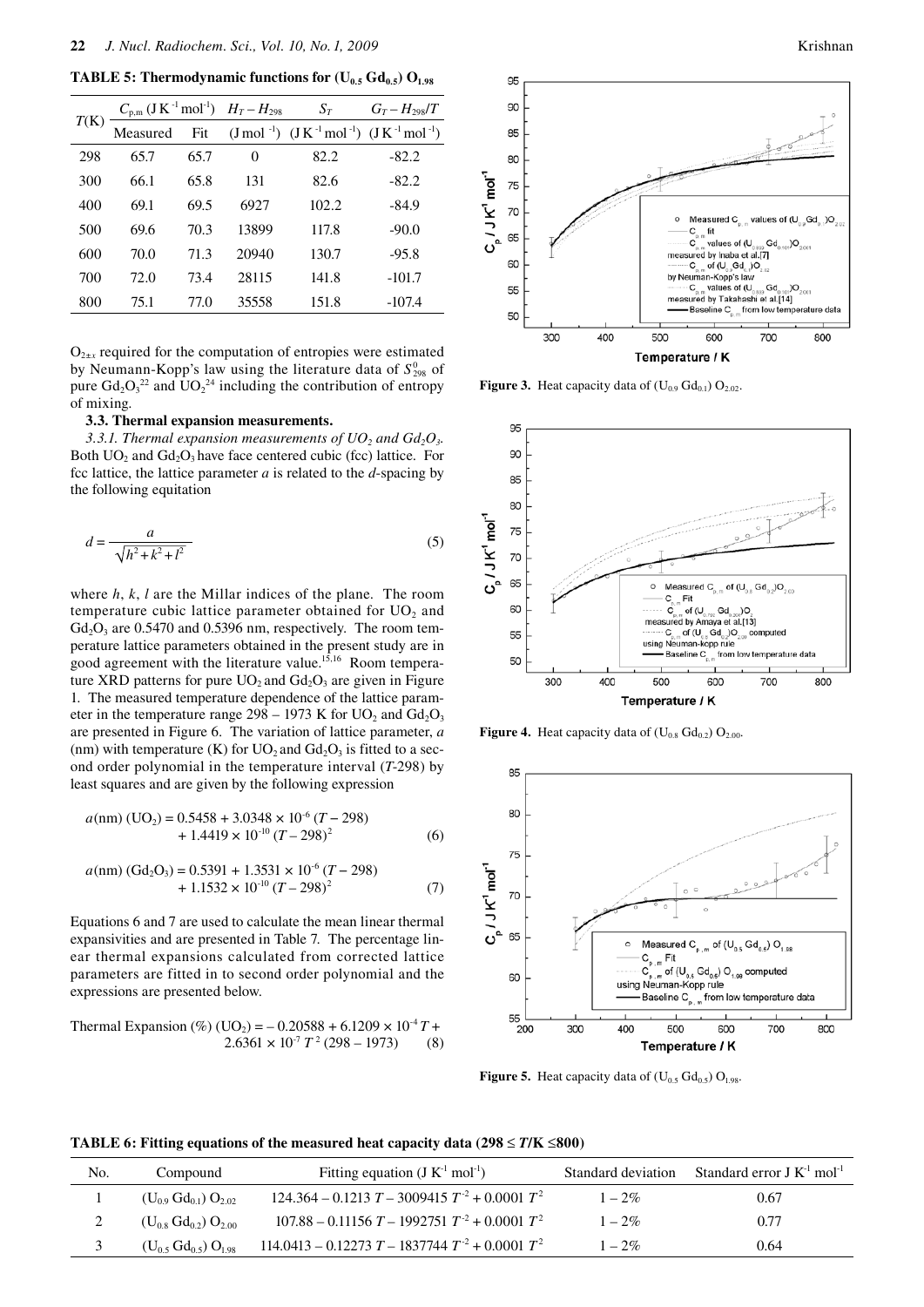**TABLE 5: Thermodynamic functions for**  $(U_{0.5} G_{0.5}) O_{1.98}$ 

| T(K) | $C_{p,m}$ (J K <sup>-1</sup> mol <sup>-1</sup> ) $H_T - H_{298}$ |      |       | $S_{\tau}$                                                                         | $G_T - H_{298}/T$ |  |
|------|------------------------------------------------------------------|------|-------|------------------------------------------------------------------------------------|-------------------|--|
|      | Measured                                                         | Fit  |       | $(J \text{ mol}^{-1})$ $(J K^{-1} \text{ mol}^{-1})$ $(J K^{-1} \text{ mol}^{-1})$ |                   |  |
| 298  | 65.7                                                             | 65.7 | 0     | 82.2                                                                               | $-82.2$           |  |
| 300  | 66.1                                                             | 65.8 | 131   | 82.6                                                                               | $-82.2$           |  |
| 400  | 69.1                                                             | 69.5 | 6927  | 102.2                                                                              | $-84.9$           |  |
| 500  | 69.6                                                             | 70.3 | 13899 | 117.8                                                                              | $-90.0$           |  |
| 600  | 70.0                                                             | 71.3 | 20940 | 130.7                                                                              | $-95.8$           |  |
| 700  | 72.0                                                             | 73.4 | 28115 | 141.8                                                                              | $-101.7$          |  |
| 800  | 75.1                                                             | 77.0 | 35558 | 151.8                                                                              | $-107.4$          |  |

 $O_{2+x}$  required for the computation of entropies were estimated by Neumann-Kopp's law using the literature data of  $S^0_{298}$  of pure  $Gd_2O_3^{22}$  and  $UO_2^{24}$  including the contribution of entropy of mixing.

#### **3.3. Thermal expansion measurements.**

3.3.1. Thermal expansion measurements of  $UO<sub>2</sub>$  and  $Gd<sub>2</sub>O<sub>3</sub>$ . Both  $UO<sub>2</sub>$  and  $Gd<sub>2</sub>O<sub>3</sub>$  have face centered cubic (fcc) lattice. For fcc lattice, the lattice parameter *a* is related to the *d*-spacing by the following equitation

$$
d = \frac{a}{\sqrt{h^2 + k^2 + l^2}}
$$
 (5)

where *h*, *k*, *l* are the Millar indices of the plane. The room temperature cubic lattice parameter obtained for  $UO<sub>2</sub>$  and  $Gd<sub>2</sub>O<sub>3</sub>$  are 0.5470 and 0.5396 nm, respectively. The room temperature lattice parameters obtained in the present study are in good agreement with the literature value.<sup>15,16</sup> Room temperature XRD patterns for pure  $UO<sub>2</sub>$  and  $Gd<sub>2</sub>O<sub>3</sub>$  are given in Figure 1. The measured temperature dependence of the lattice parameter in the temperature range  $298 - 1973$  K for  $UO<sub>2</sub>$  and  $Gd<sub>2</sub>O<sub>3</sub>$ are presented in Figure 6. The variation of lattice parameter, *a* (nm) with temperature (K) for  $UO<sub>2</sub>$  and  $Gd<sub>2</sub>O<sub>3</sub>$  is fitted to a second order polynomial in the temperature interval (*T*-298) by least squares and are given by the following expression

$$
a(nm) (UO2) = 0.5458 + 3.0348 \times 10^{-6} (T - 298)
$$
  
+ 1.4419 × 10<sup>-10</sup> (T - 298)<sup>2</sup> (6)

$$
a(nm) (Gd2O3) = 0.5391 + 1.3531 \times 10^{-6} (T - 298)
$$
  
+ 1.1532 × 10<sup>-10</sup> (T - 298)<sup>2</sup> (7)

Equations 6 and 7 are used to calculate the mean linear thermal expansivities and are presented in Table 7. The percentage linear thermal expansions calculated from corrected lattice parameters are fitted in to second order polynomial and the expressions are presented below.

Thermal Expansion (
$$
\%
$$
) (UO<sub>2</sub>) = -0.20588 + 6.1209 × 10<sup>-4</sup> T +  
2.6361 × 10<sup>-7</sup> T<sup>2</sup> (298 – 1973) (8)



**Figure 3.** Heat capacity data of  $(U_{0.9} Gd_{0.1}) O_{2.02}$ .



**Figure 4.** Heat capacity data of  $(U_{0.8} Gd_{0.2}) O_{2.00}$ .



**Figure 5.** Heat capacity data of  $(U_{0.5} Gd_{0.5}) O_{1.98}$ .

**TABLE 6: Fitting equations of the measured heat capacity data (** $298 \leq T/K \leq 800$ **)** 

| No. | Compound                      | Fitting equation $(J K1 mol-1)$                                          |           | Standard deviation Standard error $J K-1$ mol <sup>-1</sup> |
|-----|-------------------------------|--------------------------------------------------------------------------|-----------|-------------------------------------------------------------|
|     | $(U_{09} Gd_{01}) O_{202}$    | $124.364 - 0.1213 T - 3009415 T^2 + 0.0001 T^2$                          | $1 - 2\%$ | 0.67                                                        |
|     | $(U_{0.8} Gd_{0.2}) O_{2.00}$ | $107.88 - 0.11156 T - 1992751 T^2 + 0.0001 T^2$                          | $1 - 2\%$ | 0.77                                                        |
| 3   | $(U_{0.5} Gd_{0.5}) O_{1.98}$ | $114.0413 - 0.12273$ T – 1837744 T <sup>-2</sup> + 0.0001 T <sup>2</sup> | $1 - 2\%$ | 0.64                                                        |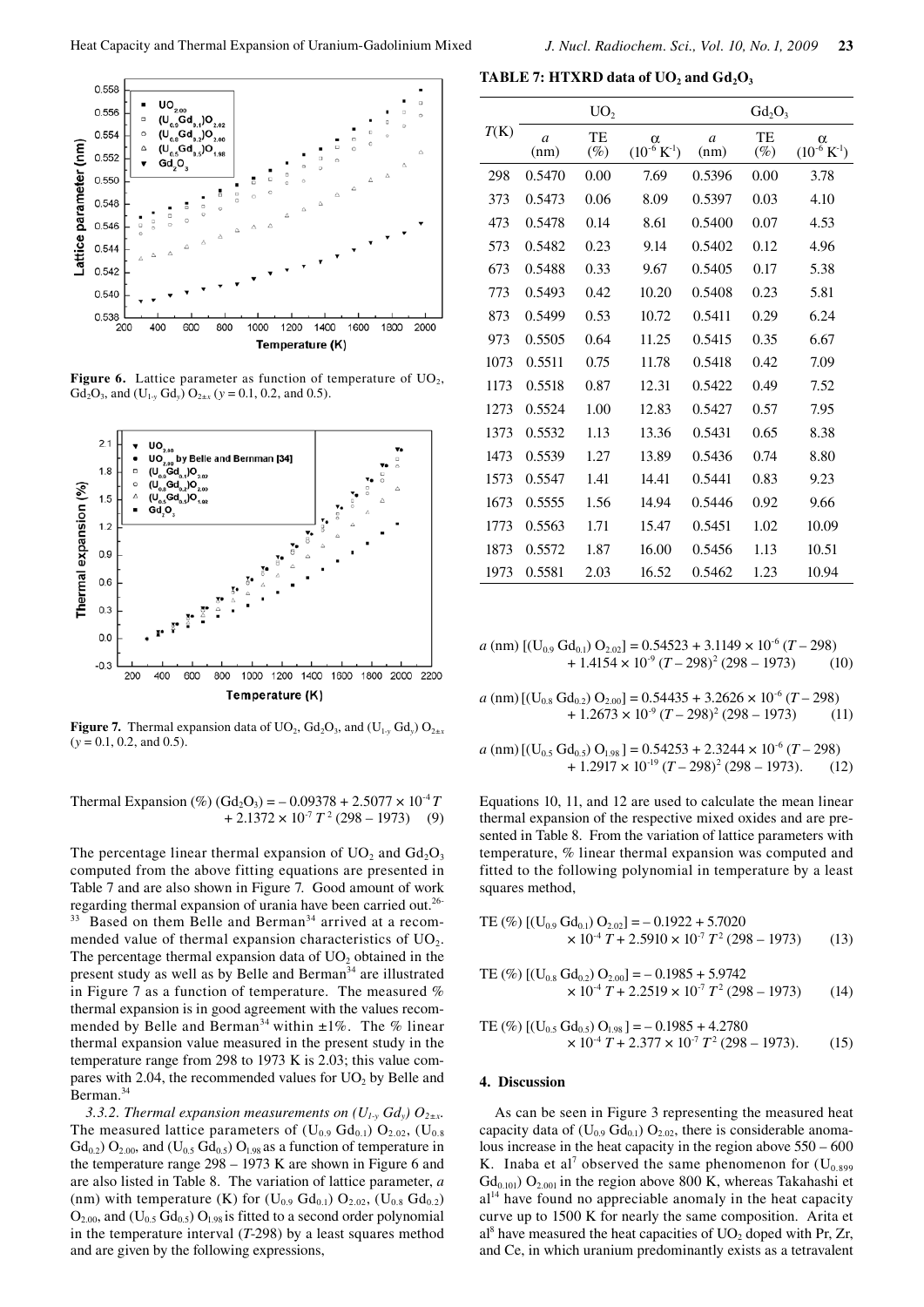

**Figure 6.** Lattice parameter as function of temperature of  $UO<sub>2</sub>$ , Gd<sub>2</sub>O<sub>3</sub>, and (U<sub>1-y</sub> Gd<sub>y</sub>) O<sub>2±*x*</sub> (*y* = 0.1, 0.2, and 0.5).



**Figure 7.** Thermal expansion data of  $UO_2$ ,  $Gd_2O_3$ , and  $(U_{1\cdot y}Gd_y)O_{2\pm x}$ (*y* = 0.1, 0.2, and 0.5).

Thermal Expansion (%) (Gd<sub>2</sub>O<sub>3</sub>) =  $-$  0.09378 + 2.5077  $\times$  10<sup>-4</sup> T  $+ 2.1372 \times 10^{-7} T^2 (298 - 1973)$  (9)

The percentage linear thermal expansion of  $UO<sub>2</sub>$  and  $Gd<sub>2</sub>O<sub>3</sub>$ computed from the above fitting equations are presented in Table 7 and are also shown in Figure 7. Good amount of work regarding thermal expansion of urania have been carried out.<sup>26-</sup> Based on them Belle and Berman<sup>34</sup> arrived at a recommended value of thermal expansion characteristics of  $UO<sub>2</sub>$ . The percentage thermal expansion data of  $UO<sub>2</sub>$  obtained in the present study as well as by Belle and Berman<sup>34</sup> are illustrated in Figure 7 as a function of temperature. The measured % thermal expansion is in good agreement with the values recommended by Belle and Berman<sup>34</sup> within  $\pm 1\%$ . The % linear thermal expansion value measured in the present study in the temperature range from 298 to 1973 K is 2.03; this value compares with 2.04, the recommended values for  $UO<sub>2</sub>$  by Belle and Berman.34

3.3.2. Thermal expansion measurements on  $(U_{1}$ <sub>x</sub>  $G_{d}$ <sub>y</sub>)  $O_{2+x}$ . The measured lattice parameters of  $(U_{0.9} \text{ Gd}_{0.1}) O_{2.02}$ ,  $(U_{0.8})$  $Gd_{0.2}$ )  $O_{2.00}$ , and  $(U_{0.5} Gd_{0.5}) O_{1.98}$  as a function of temperature in the temperature range 298 – 1973 K are shown in Figure 6 and are also listed in Table 8. The variation of lattice parameter, *a* (nm) with temperature (K) for  $(U_{0.9} \text{ Gd}_{0.1}) O_{2.02}$ ,  $(U_{0.8} \text{ Gd}_{0.2})$  $O_{2.00}$ , and (U<sub>0.5</sub> Gd<sub>0.5</sub>)  $O_{1.98}$  is fitted to a second order polynomial in the temperature interval (*T*-298) by a least squares method and are given by the following expressions,

**TABLE 7: HTXRD data of**  $UO<sub>2</sub>$  **and**  $Gd<sub>2</sub>O<sub>3</sub>$ 

|      |                       | UO <sub>2</sub> |                                 | $Gd_2O_3$ |              |                                        |
|------|-----------------------|-----------------|---------------------------------|-----------|--------------|----------------------------------------|
| T(K) | $\mathfrak a$<br>(nm) | TE<br>$(\%)$    | α<br>$(10^{-6} \text{ K}^{-1})$ | a<br>(nm) | TE<br>$(\%)$ | $\alpha$<br>$(10^{-6} \text{ K}^{-1})$ |
| 298  | 0.5470                | 0.00            | 7.69                            | 0.5396    | 0.00         | 3.78                                   |
| 373  | 0.5473                | 0.06            | 8.09                            | 0.5397    | 0.03         | 4.10                                   |
| 473  | 0.5478                | 0.14            | 8.61                            | 0.5400    | 0.07         | 4.53                                   |
| 573  | 0.5482                | 0.23            | 9.14                            | 0.5402    | 0.12         | 4.96                                   |
| 673  | 0.5488                | 0.33            | 9.67                            | 0.5405    | 0.17         | 5.38                                   |
| 773  | 0.5493                | 0.42            | 10.20                           | 0.5408    | 0.23         | 5.81                                   |
| 873  | 0.5499                | 0.53            | 10.72                           | 0.5411    | 0.29         | 6.24                                   |
| 973  | 0.5505                | 0.64            | 11.25                           | 0.5415    | 0.35         | 6.67                                   |
| 1073 | 0.5511                | 0.75            | 11.78                           | 0.5418    | 0.42         | 7.09                                   |
| 1173 | 0.5518                | 0.87            | 12.31                           | 0.5422    | 0.49         | 7.52                                   |
| 1273 | 0.5524                | 1.00            | 12.83                           | 0.5427    | 0.57         | 7.95                                   |
| 1373 | 0.5532                | 1.13            | 13.36                           | 0.5431    | 0.65         | 8.38                                   |
| 1473 | 0.5539                | 1.27            | 13.89                           | 0.5436    | 0.74         | 8.80                                   |
| 1573 | 0.5547                | 1.41            | 14.41                           | 0.5441    | 0.83         | 9.23                                   |
| 1673 | 0.5555                | 1.56            | 14.94                           | 0.5446    | 0.92         | 9.66                                   |
| 1773 | 0.5563                | 1.71            | 15.47                           | 0.5451    | 1.02         | 10.09                                  |
| 1873 | 0.5572                | 1.87            | 16.00                           | 0.5456    | 1.13         | 10.51                                  |
| 1973 | 0.5581                | 2.03            | 16.52                           | 0.5462    | 1.23         | 10.94                                  |

$$
a \text{ (nm) } [(U_{0.9} \text{ Gd}_{0.1}) O_{2.02}] = 0.54523 + 3.1149 \times 10^{-6} (T - 298) + 1.4154 \times 10^{-9} (T - 298)^2 (298 - 1973) \tag{10}
$$

 $a \text{ (nm)} \left[ (\text{U}_{0.8} \text{ Gd}_{0.2}) \text{ O}_{2.00} \right] = 0.54435 + 3.2626 \times 10^{-6} (T - 298)$  $+ 1.2673 \times 10^{-9} (T - 298)^2 (298 - 1973)$  (11)

$$
a \text{ (nm) } [(U_{0.5} \text{ Gd}_{0.5}) O_{1.98}] = 0.54253 + 2.3244 \times 10^{-6} (T - 298) + 1.2917 \times 10^{-19} (T - 298)^{2} (298 - 1973). \tag{12}
$$

Equations 10, 11, and 12 are used to calculate the mean linear thermal expansion of the respective mixed oxides and are presented in Table 8. From the variation of lattice parameters with temperature, % linear thermal expansion was computed and fitted to the following polynomial in temperature by a least squares method,

TE (%) [(U0.9 Gd0.1) O2.02] = – 0.1922 + 5.7020 × 10-4 *T* + 2.5910 × 10-7 *T* <sup>2</sup> (298 – 1973) (13)

TE (%) [(U0.8 Gd0.2) O2.00] = – 0.1985 + 5.9742 × 10-4 *T* + 2.2519 × 10-7 *T* <sup>2</sup> (298 – 1973) (14)

TE (%) [(U0.5 Gd0.5) O1.98 ] = – 0.1985 + 4.2780 × 10-4 *T* + 2.377 × 10-7 *T* <sup>2</sup> (298 – 1973). (15)

# **4. Discussion**

As can be seen in Figure 3 representing the measured heat capacity data of  $(U_{0.9} G_{0.1}) O_{2.02}$ , there is considerable anomalous increase in the heat capacity in the region above 550 – 600 K. Inaba et al<sup>7</sup> observed the same phenomenon for  $(U_{0.899}$  $Gd_{0.101}$ )  $O_{2.001}$  in the region above 800 K, whereas Takahashi et  $al<sup>14</sup>$  have found no appreciable anomaly in the heat capacity curve up to 1500 K for nearly the same composition. Arita et  $al<sup>8</sup>$  have measured the heat capacities of  $UO<sub>2</sub>$  doped with Pr, Zr, and Ce, in which uranium predominantly exists as a tetravalent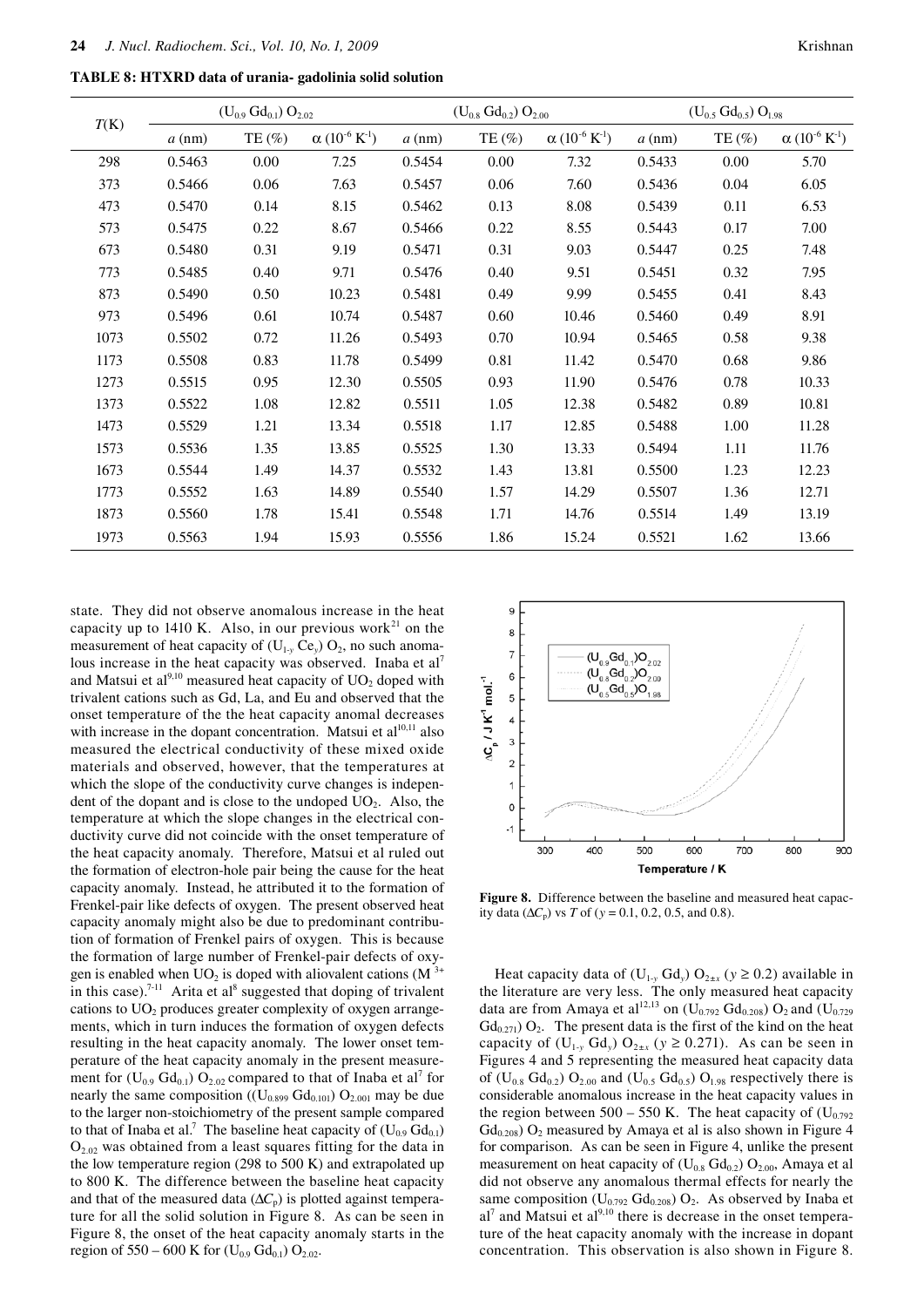| TABLE 8: HTXRD data of urania- gadolinia solid solution |  |  |  |
|---------------------------------------------------------|--|--|--|
|---------------------------------------------------------|--|--|--|

| T(K) | $(U_{0.9} Gd_{0.1}) O_{2.02}$ |            |                                              | $(U_{0.8} Gd_{0.2}) O_{2.00}$ |           |                                              | $(U_{0.5} Gd_{0.5}) O_{1.98}$ |           |                                              |
|------|-------------------------------|------------|----------------------------------------------|-------------------------------|-----------|----------------------------------------------|-------------------------------|-----------|----------------------------------------------|
|      | $a$ (nm)                      | TE $(\% )$ | $\alpha$ (10 <sup>-6</sup> K <sup>-1</sup> ) | $a$ (nm)                      | TE $(\%)$ | $\alpha$ (10 <sup>-6</sup> K <sup>-1</sup> ) | $a$ (nm)                      | TE $(\%)$ | $\alpha$ (10 <sup>-6</sup> K <sup>-1</sup> ) |
| 298  | 0.5463                        | 0.00       | 7.25                                         | 0.5454                        | 0.00      | 7.32                                         | 0.5433                        | 0.00      | 5.70                                         |
| 373  | 0.5466                        | 0.06       | 7.63                                         | 0.5457                        | 0.06      | 7.60                                         | 0.5436                        | 0.04      | 6.05                                         |
| 473  | 0.5470                        | 0.14       | 8.15                                         | 0.5462                        | 0.13      | 8.08                                         | 0.5439                        | 0.11      | 6.53                                         |
| 573  | 0.5475                        | 0.22       | 8.67                                         | 0.5466                        | 0.22      | 8.55                                         | 0.5443                        | 0.17      | 7.00                                         |
| 673  | 0.5480                        | 0.31       | 9.19                                         | 0.5471                        | 0.31      | 9.03                                         | 0.5447                        | 0.25      | 7.48                                         |
| 773  | 0.5485                        | 0.40       | 9.71                                         | 0.5476                        | 0.40      | 9.51                                         | 0.5451                        | 0.32      | 7.95                                         |
| 873  | 0.5490                        | 0.50       | 10.23                                        | 0.5481                        | 0.49      | 9.99                                         | 0.5455                        | 0.41      | 8.43                                         |
| 973  | 0.5496                        | 0.61       | 10.74                                        | 0.5487                        | 0.60      | 10.46                                        | 0.5460                        | 0.49      | 8.91                                         |
| 1073 | 0.5502                        | 0.72       | 11.26                                        | 0.5493                        | 0.70      | 10.94                                        | 0.5465                        | 0.58      | 9.38                                         |
| 1173 | 0.5508                        | 0.83       | 11.78                                        | 0.5499                        | 0.81      | 11.42                                        | 0.5470                        | 0.68      | 9.86                                         |
| 1273 | 0.5515                        | 0.95       | 12.30                                        | 0.5505                        | 0.93      | 11.90                                        | 0.5476                        | 0.78      | 10.33                                        |
| 1373 | 0.5522                        | 1.08       | 12.82                                        | 0.5511                        | 1.05      | 12.38                                        | 0.5482                        | 0.89      | 10.81                                        |
| 1473 | 0.5529                        | 1.21       | 13.34                                        | 0.5518                        | 1.17      | 12.85                                        | 0.5488                        | 1.00      | 11.28                                        |
| 1573 | 0.5536                        | 1.35       | 13.85                                        | 0.5525                        | 1.30      | 13.33                                        | 0.5494                        | 1.11      | 11.76                                        |
| 1673 | 0.5544                        | 1.49       | 14.37                                        | 0.5532                        | 1.43      | 13.81                                        | 0.5500                        | 1.23      | 12.23                                        |
| 1773 | 0.5552                        | 1.63       | 14.89                                        | 0.5540                        | 1.57      | 14.29                                        | 0.5507                        | 1.36      | 12.71                                        |
| 1873 | 0.5560                        | 1.78       | 15.41                                        | 0.5548                        | 1.71      | 14.76                                        | 0.5514                        | 1.49      | 13.19                                        |
| 1973 | 0.5563                        | 1.94       | 15.93                                        | 0.5556                        | 1.86      | 15.24                                        | 0.5521                        | 1.62      | 13.66                                        |

state. They did not observe anomalous increase in the heat capacity up to 1410 K. Also, in our previous work<sup>21</sup> on the measurement of heat capacity of  $(U_{1}$ <sup> $\sim$ </sup> Ce<sup>*v*</sup> $)$  O<sub>2</sub>, no such anomalous increase in the heat capacity was observed. Inaba et al<sup>7</sup> and Matsui et al $^{9,10}$  measured heat capacity of  $UO<sub>2</sub>$  doped with trivalent cations such as Gd, La, and Eu and observed that the onset temperature of the the heat capacity anomal decreases with increase in the dopant concentration. Matsui et  $al<sup>10,11</sup>$  also measured the electrical conductivity of these mixed oxide materials and observed, however, that the temperatures at which the slope of the conductivity curve changes is independent of the dopant and is close to the undoped  $UO<sub>2</sub>$ . Also, the temperature at which the slope changes in the electrical conductivity curve did not coincide with the onset temperature of the heat capacity anomaly. Therefore, Matsui et al ruled out the formation of electron-hole pair being the cause for the heat capacity anomaly. Instead, he attributed it to the formation of Frenkel-pair like defects of oxygen. The present observed heat capacity anomaly might also be due to predominant contribution of formation of Frenkel pairs of oxygen. This is because the formation of large number of Frenkel-pair defects of oxygen is enabled when  $UO<sub>2</sub>$  is doped with aliovalent cations (M<sup>3+</sup> in this case).<sup>7-11</sup> Arita et al<sup>8</sup> suggested that doping of trivalent cations to UO<sub>2</sub> produces greater complexity of oxygen arrangements, which in turn induces the formation of oxygen defects resulting in the heat capacity anomaly. The lower onset temperature of the heat capacity anomaly in the present measurement for  $(U_{0.9} Gd_{0.1}) O_{2.02}$  compared to that of Inaba et al<sup>7</sup> for nearly the same composition  $((U_{0.899} \text{ Gd}_{0.101}) O_{2.001}$  may be due to the larger non-stoichiometry of the present sample compared to that of Inaba et al.<sup>7</sup> The baseline heat capacity of  $(U_{0.9} Gd_{0.1})$  $O<sub>2.02</sub>$  was obtained from a least squares fitting for the data in the low temperature region (298 to 500 K) and extrapolated up to 800 K. The difference between the baseline heat capacity and that of the measured data  $(\Delta C_p)$  is plotted against temperature for all the solid solution in Figure 8. As can be seen in Figure 8, the onset of the heat capacity anomaly starts in the region of  $550 - 600$  K for  $(U_{0.9} \text{Gd}_{0.1}) O_{2.02}$ .



**Figure 8.** Difference between the baseline and measured heat capacity data ( $\Delta C_p$ ) vs *T* of (*y* = 0.1, 0.2, 0.5, and 0.8).

Heat capacity data of  $(U_{1-y} Gd_y) O_{2+x}$  ( $y \ge 0.2$ ) available in the literature are very less. The only measured heat capacity data are from Amaya et al<sup>12,13</sup> on (U<sub>0.792</sub> Gd<sub>0.208</sub>) O<sub>2</sub> and (U<sub>0.729</sub>)  $Gd_{0.271}$ )  $O_2$ . The present data is the first of the kind on the heat capacity of  $(U_{1-y} Gd_y) O_{2+x}$  ( $y \ge 0.271$ ). As can be seen in Figures 4 and 5 representing the measured heat capacity data of  $(U_{0.8} Gd_{0.2}) O_{2.00}$  and  $(U_{0.5} Gd_{0.5}) O_{1.98}$  respectively there is considerable anomalous increase in the heat capacity values in the region between 500 – 550 K. The heat capacity of  $(U_{0.792})$  $Gd_{0.208}$ )  $O_2$  measured by Amaya et al is also shown in Figure 4 for comparison. As can be seen in Figure 4, unlike the present measurement on heat capacity of  $(U_{0.8} \text{ Gd}_{0.2}) O_{2.00}$ , Amaya et al did not observe any anomalous thermal effects for nearly the same composition ( $U_{0.792}$  Gd<sub>0.208</sub>) O<sub>2</sub>. As observed by Inaba et  $al<sup>7</sup>$  and Matsui et  $al<sup>9,10</sup>$  there is decrease in the onset temperature of the heat capacity anomaly with the increase in dopant concentration. This observation is also shown in Figure 8.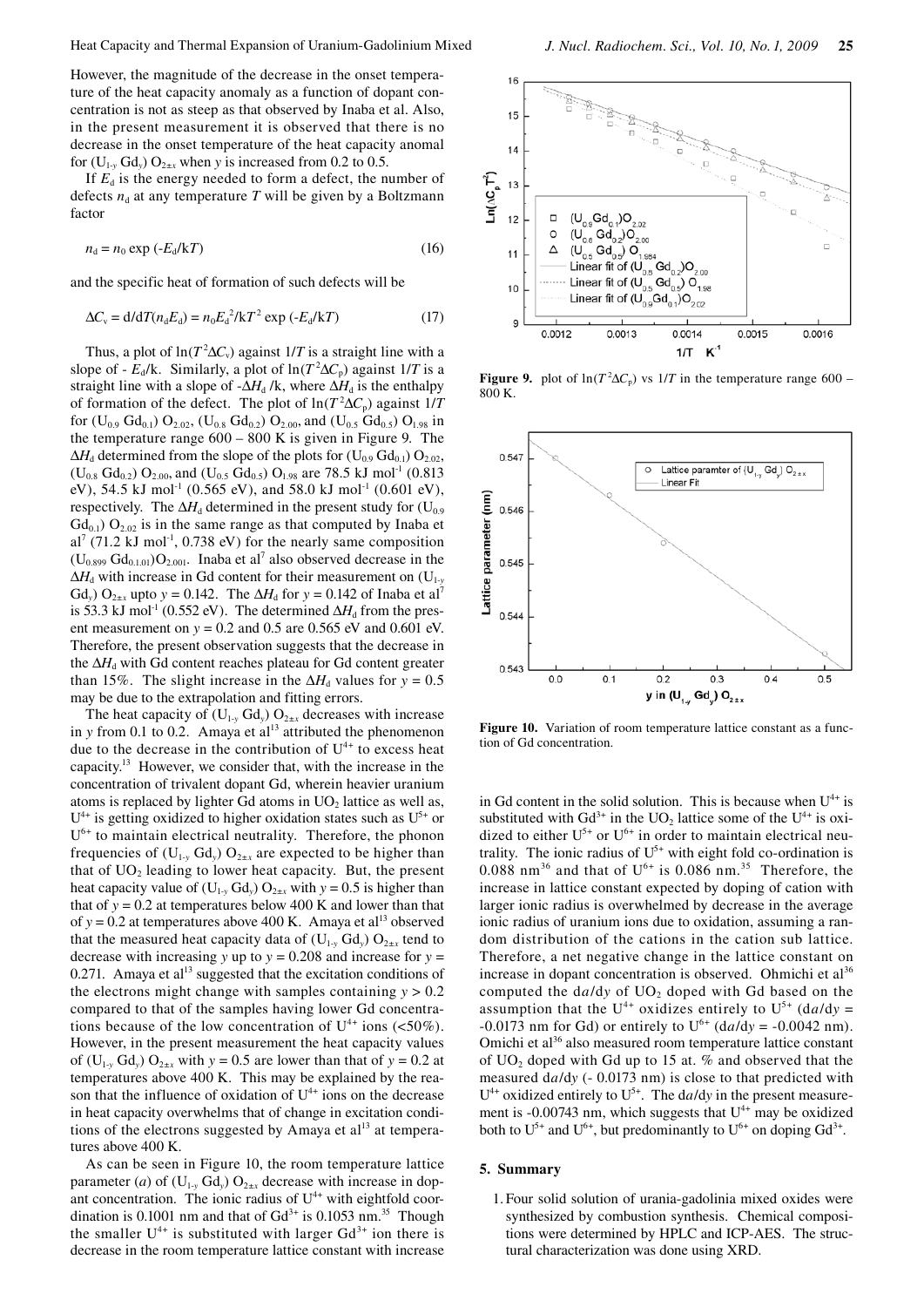Heat Capacity and Thermal Expansion of Uranium-Gadolinium Mixed *J. Nucl. Radiochem. Sci., Vol. 10, No. 1, 2009* **25**

However, the magnitude of the decrease in the onset temperature of the heat capacity anomaly as a function of dopant concentration is not as steep as that observed by Inaba et al. Also, in the present measurement it is observed that there is no decrease in the onset temperature of the heat capacity anomal for  $(U_{1-y} Gd_y) O_{2+x}$  when *y* is increased from 0.2 to 0.5.

If  $E_d$  is the energy needed to form a defect, the number of defects  $n_d$  at any temperature *T* will be given by a Boltzmann factor

$$
n_{\rm d} = n_0 \exp\left(-E_{\rm d}/kT\right) \tag{16}
$$

and the specific heat of formation of such defects will be

$$
\Delta C_{\rm v} = d/dT (n_{\rm d}E_{\rm d}) = n_0 E_{\rm d}^2 / kT^2 \exp\left(-E_{\rm d}/kT\right) \tag{17}
$$

Thus, a plot of ln( $T^2\Delta C_v$ ) against 1/*T* is a straight line with a slope of -  $E_d$ /k. Similarly, a plot of ln( $T^2\Delta C_p$ ) against 1/*T* is a straight line with a slope of  $-\Delta H_d$  /k, where  $\Delta H_d$  is the enthalpy of formation of the defect. The plot of  $\ln(T^2 \Delta C_p)$  against  $1/T$ for  $(U_{0.9} Gd_{0.1}) O_{2.02}$ ,  $(U_{0.8} Gd_{0.2}) O_{2.00}$ , and  $(U_{0.5} Gd_{0.5}) O_{1.98}$  in the temperature range 600 – 800 K is given in Figure 9. The  $\Delta H_d$  determined from the slope of the plots for (U<sub>0.9</sub> Gd<sub>0.1</sub>) O<sub>2.02</sub>,  $(U_{0.8} Gd_{0.2}) O_{2.00}$ , and  $(U_{0.5} Gd_{0.5}) O_{1.98}$  are 78.5 kJ mol<sup>-1</sup> (0.813 eV), 54.5 kJ mol<sup>-1</sup> (0.565 eV), and 58.0 kJ mol<sup>-1</sup> (0.601 eV), respectively. The  $\Delta H_d$  determined in the present study for (U<sub>0.9</sub>)  $G_{0,1}$ )  $O_{2,02}$  is in the same range as that computed by Inaba et  $al^7$  (71.2 kJ mol<sup>-1</sup>, 0.738 eV) for the nearly same composition  $(U_{0.899} \text{Gd}_{0.1.01})O_{2.001}$ . Inaba et al<sup>7</sup> also observed decrease in the  $\Delta H_d$  with increase in Gd content for their measurement on (U<sub>1-*y*</sub> Gd<sub>y</sub>) O<sub>2±*x*</sub> upto *y* = 0.142. The  $\Delta H_d$  for *y* = 0.142 of Inaba et al<sup>7</sup> is 53.3 kJ mol<sup>-1</sup> (0.552 eV). The determined  $\Delta H_d$  from the present measurement on  $y = 0.2$  and 0.5 are 0.565 eV and 0.601 eV. Therefore, the present observation suggests that the decrease in the ∆*H*<sub>d</sub> with Gd content reaches plateau for Gd content greater than 15%. The slight increase in the  $\Delta H_d$  values for *y* = 0.5 may be due to the extrapolation and fitting errors.

The heat capacity of  $(U_{1-y} G d_y) O_{2+x}$  decreases with increase in *y* from 0.1 to 0.2. Amaya et al<sup>13</sup> attributed the phenomenon due to the decrease in the contribution of  $U^{4+}$  to excess heat capacity.13 However, we consider that, with the increase in the concentration of trivalent dopant Gd, wherein heavier uranium atoms is replaced by lighter Gd atoms in  $UO<sub>2</sub>$  lattice as well as,  $U^{4+}$  is getting oxidized to higher oxidation states such as  $U^{5+}$  or  $U^{6+}$  to maintain electrical neutrality. Therefore, the phonon frequencies of  $(U_{1,y} Gd_y) O_{2+x}$  are expected to be higher than that of  $UO<sub>2</sub>$  leading to lower heat capacity. But, the present heat capacity value of  $(U_{1-y} Gd_y) O_{2+x}$  with  $y = 0.5$  is higher than that of  $y = 0.2$  at temperatures below 400 K and lower than that of  $y = 0.2$  at temperatures above 400 K. Amaya et al<sup>13</sup> observed that the measured heat capacity data of  $(U_{1-y} G d_y) O_{2+x}$  tend to decrease with increasing *y* up to  $y = 0.208$  and increase for  $y =$ 0.271. Amaya et  $al<sup>13</sup>$  suggested that the excitation conditions of the electrons might change with samples containing  $y > 0.2$ compared to that of the samples having lower Gd concentrations because of the low concentration of  $U^{4+}$  ions (<50%). However, in the present measurement the heat capacity values of ( $U_{1-y}$  Gd<sub>*y*</sub>) O<sub>2±*x*</sub> with *y* = 0.5 are lower than that of *y* = 0.2 at temperatures above 400 K. This may be explained by the reason that the influence of oxidation of  $U^{4+}$  ions on the decrease in heat capacity overwhelms that of change in excitation conditions of the electrons suggested by Amaya et  $al<sup>13</sup>$  at temperatures above 400 K.

As can be seen in Figure 10, the room temperature lattice parameter (*a*) of ( $U_{1-y}$  Gd<sub>y</sub>)  $O_{2+x}$  decrease with increase in dopant concentration. The ionic radius of  $U^{4+}$  with eightfold coordination is 0.1001 nm and that of  $Gd^{3+}$  is 0.1053 nm.<sup>35</sup> Though the smaller  $U^{4+}$  is substituted with larger  $Gd^{3+}$  ion there is decrease in the room temperature lattice constant with increase



**Figure 9.** plot of ln( $T^2\Delta C_p$ ) vs 1/*T* in the temperature range 600 – 800 K.



**Figure 10.** Variation of room temperature lattice constant as a function of Gd concentration.

in Gd content in the solid solution. This is because when  $U^{4+}$  is substituted with  $Gd^{3+}$  in the UO<sub>2</sub> lattice some of the U<sup>4+</sup> is oxidized to either  $U^{5+}$  or  $U^{6+}$  in order to maintain electrical neutrality. The ionic radius of  $U^{5+}$  with eight fold co-ordination is 0.088 nm<sup>36</sup> and that of  $U^{6+}$  is 0.086 nm.<sup>35</sup> Therefore, the increase in lattice constant expected by doping of cation with larger ionic radius is overwhelmed by decrease in the average ionic radius of uranium ions due to oxidation, assuming a random distribution of the cations in the cation sub lattice. Therefore, a net negative change in the lattice constant on increase in dopant concentration is observed. Ohmichi et al<sup>36</sup> computed the da/dy of UO<sub>2</sub> doped with Gd based on the assumption that the U<sup>4+</sup> oxidizes entirely to U<sup>5+</sup> (da/dy =  $-0.0173$  nm for Gd) or entirely to  $U^{6+}$  (da/dy =  $-0.0042$  nm). Omichi et al<sup>36</sup> also measured room temperature lattice constant of  $UO<sub>2</sub>$  doped with Gd up to 15 at. % and observed that the measured d*a*/d*y* (- 0.0173 nm) is close to that predicted with  $U^{4+}$  oxidized entirely to  $U^{5+}$ . The da/dy in the present measurement is -0.00743 nm, which suggests that  $U^{4+}$  may be oxidized both to  $U^{5+}$  and  $U^{6+}$ , but predominantly to  $U^{6+}$  on doping Gd<sup>3+</sup>.

## **5. Summary**

 1. Four solid solution of urania-gadolinia mixed oxides were synthesized by combustion synthesis. Chemical compositions were determined by HPLC and ICP-AES. The structural characterization was done using XRD.